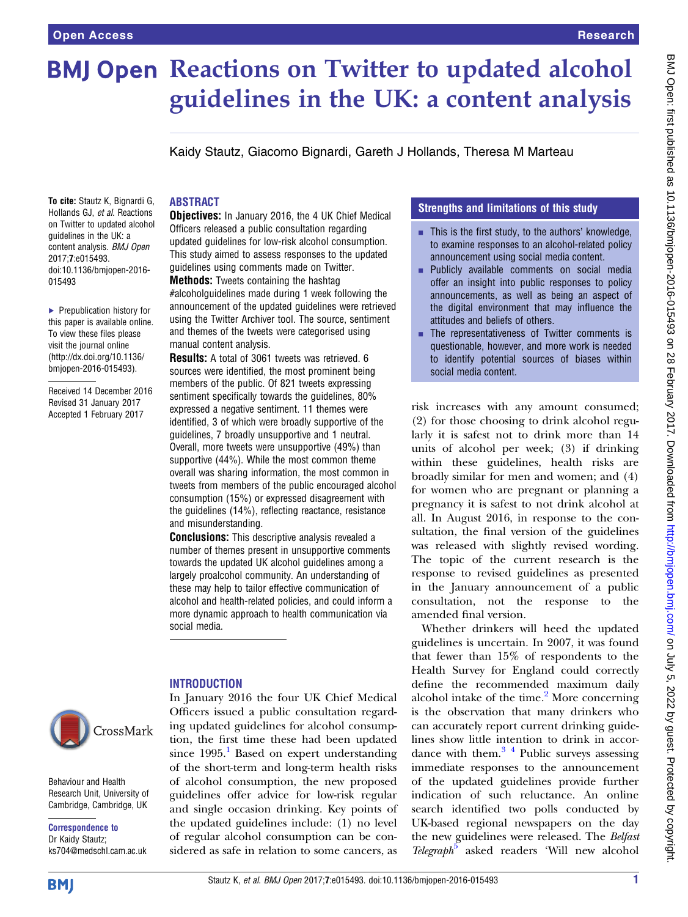# **BMJ Open Reactions on Twitter to updated alcohol** guidelines in the UK: a content analysis

Kaidy Stautz, Giacomo Bignardi, Gareth J Hollands, Theresa M Marteau

#### ABSTRACT

To cite: Stautz K, Bignardi G, Hollands GJ, et al. Reactions on Twitter to updated alcohol guidelines in the UK: a content analysis. BMJ Open 2017;7:e015493. doi:10.1136/bmjopen-2016- 015493

▶ Prepublication history for this paper is available online. To view these files please visit the journal online [\(http://dx.doi.org/10.1136/](http://dx.doi.org/10.1136/bmjopen-2016-015493) [bmjopen-2016-015493](http://dx.doi.org/10.1136/bmjopen-2016-015493)).

Received 14 December 2016 Revised 31 January 2017 Accepted 1 February 2017

**Objectives:** In January 2016, the 4 UK Chief Medical Officers released a public consultation regarding updated guidelines for low-risk alcohol consumption. This study aimed to assess responses to the updated guidelines using comments made on Twitter.

**Methods:** Tweets containing the hashtag #alcoholguidelines made during 1 week following the announcement of the updated guidelines were retrieved using the Twitter Archiver tool. The source, sentiment and themes of the tweets were categorised using manual content analysis.

Results: A total of 3061 tweets was retrieved. 6 sources were identified, the most prominent being members of the public. Of 821 tweets expressing sentiment specifically towards the guidelines, 80% expressed a negative sentiment. 11 themes were identified, 3 of which were broadly supportive of the guidelines, 7 broadly unsupportive and 1 neutral. Overall, more tweets were unsupportive (49%) than supportive (44%). While the most common theme overall was sharing information, the most common in tweets from members of the public encouraged alcohol consumption (15%) or expressed disagreement with the guidelines (14%), reflecting reactance, resistance and misunderstanding.

**Conclusions:** This descriptive analysis revealed a number of themes present in unsupportive comments towards the updated UK alcohol guidelines among a largely proalcohol community. An understanding of these may help to tailor effective communication of alcohol and health-related policies, and could inform a more dynamic approach to health communication via social media.

## **INTRODUCTION**

CrossMark

Behaviour and Health Research Unit, University of Cambridge, Cambridge, UK

Correspondence to Dr Kaidy Stautz; ks704@medschl.cam.ac.uk In January 2016 the four UK Chief Medical Officers issued a public consultation regarding updated guidelines for alcohol consumption, the first time these had been updated since  $1995<sup>1</sup>$  $1995<sup>1</sup>$  Based on expert understanding of the short-term and long-term health risks of alcohol consumption, the new proposed guidelines offer advice for low-risk regular and single occasion drinking. Key points of the updated guidelines include: (1) no level of regular alcohol consumption can be con-

sidered as safe in relation to some cancers, as

#### Strengths and limitations of this study

- $\blacksquare$  This is the first study, to the authors' knowledge, to examine responses to an alcohol-related policy announcement using social media content.
- **E** Publicly available comments on social media offer an insight into public responses to policy announcements, as well as being an aspect of the digital environment that may influence the attitudes and beliefs of others.
- **EXECUTE:** The representativeness of Twitter comments is questionable, however, and more work is needed to identify potential sources of biases within social media content.

risk increases with any amount consumed; (2) for those choosing to drink alcohol regularly it is safest not to drink more than 14 units of alcohol per week; (3) if drinking within these guidelines, health risks are broadly similar for men and women; and (4) for women who are pregnant or planning a pregnancy it is safest to not drink alcohol at all. In August 2016, in response to the consultation, the final version of the guidelines was released with slightly revised wording. The topic of the current research is the response to revised guidelines as presented in the January announcement of a public consultation, not the response to the amended final version.

Whether drinkers will heed the updated guidelines is uncertain. In 2007, it was found that fewer than 15% of respondents to the Health Survey for England could correctly define the recommended maximum daily alcohol intake of the time. $^{2}$  More concerning is the observation that many drinkers who can accurately report current drinking guidelines show little intention to drink in accordance with them. $3 \frac{4}{3}$  Public surveys assessing immediate responses to the announcement of the updated guidelines provide further indication of such reluctance. An online search identified two polls conducted by UK-based regional newspapers on the day the new guidelines were released. The Belfast Telegraph<sup>[5](#page-8-0)</sup> asked readers 'Will new alcohol

**BMJ**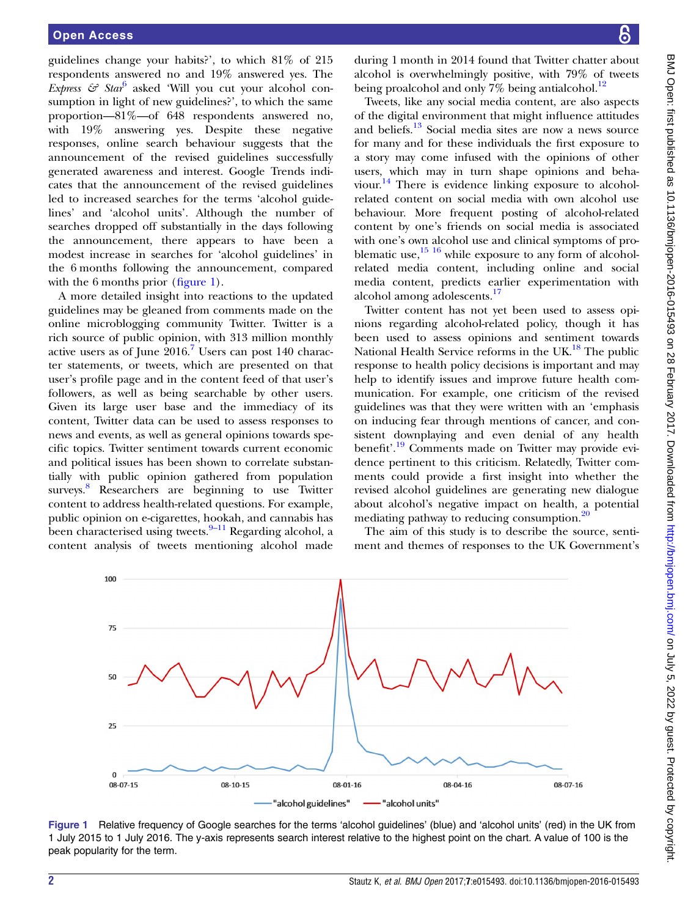guidelines change your habits?', to which 81% of 215 respondents answered no and 19% answered yes. The *Express*  $\mathcal{C}$  *Star*<sup>[6](#page-8-0)</sup> asked 'Will you cut your alcohol consumption in light of new guidelines?', to which the same proportion—81%—of 648 respondents answered no, with 19% answering yes. Despite these negative responses, online search behaviour suggests that the announcement of the revised guidelines successfully generated awareness and interest. Google Trends indicates that the announcement of the revised guidelines led to increased searches for the terms 'alcohol guidelines' and 'alcohol units'. Although the number of searches dropped off substantially in the days following the announcement, there appears to have been a modest increase in searches for 'alcohol guidelines' in the 6 months following the announcement, compared with the 6 months prior (figure 1).

A more detailed insight into reactions to the updated guidelines may be gleaned from comments made on the online microblogging community Twitter. Twitter is a rich source of public opinion, with 313 million monthly active users as of June  $2016<sup>7</sup>$  $2016<sup>7</sup>$  $2016<sup>7</sup>$  Users can post 140 character statements, or tweets, which are presented on that user's profile page and in the content feed of that user's followers, as well as being searchable by other users. Given its large user base and the immediacy of its content, Twitter data can be used to assess responses to news and events, as well as general opinions towards specific topics. Twitter sentiment towards current economic and political issues has been shown to correlate substantially with public opinion gathered from population surveys.<sup>[8](#page-8-0)</sup> Researchers are beginning to use Twitter content to address health-related questions. For example, public opinion on e-cigarettes, hookah, and cannabis has been characterised using tweets. $\frac{9-11}{9}$  $\frac{9-11}{9}$  $\frac{9-11}{9}$  Regarding alcohol, a content analysis of tweets mentioning alcohol made

during 1 month in 2014 found that Twitter chatter about alcohol is overwhelmingly positive, with 79% of tweets being proalcohol and only 7% being antialcohol.<sup>[12](#page-8-0)</sup>

Tweets, like any social media content, are also aspects of the digital environment that might influence attitudes and beliefs.<sup>[13](#page-8-0)</sup> Social media sites are now a news source for many and for these individuals the first exposure to a story may come infused with the opinions of other users, which may in turn shape opinions and beha-viour.<sup>[14](#page-8-0)</sup> There is evidence linking exposure to alcoholrelated content on social media with own alcohol use behaviour. More frequent posting of alcohol-related content by one's friends on social media is associated with one's own alcohol use and clinical symptoms of problematic use, $\frac{15 \times 16}{15}$  while exposure to any form of alcoholrelated media content, including online and social media content, predicts earlier experimentation with alcohol among adolescents.<sup>[17](#page-8-0)</sup>

Twitter content has not yet been used to assess opinions regarding alcohol-related policy, though it has been used to assess opinions and sentiment towards National Health Service reforms in the UK.<sup>[18](#page-8-0)</sup> The public response to health policy decisions is important and may help to identify issues and improve future health communication. For example, one criticism of the revised guidelines was that they were written with an 'emphasis on inducing fear through mentions of cancer, and consistent downplaying and even denial of any health benefit'.<sup>[19](#page-8-0)</sup> Comments made on Twitter may provide evidence pertinent to this criticism. Relatedly, Twitter comments could provide a first insight into whether the revised alcohol guidelines are generating new dialogue about alcohol's negative impact on health, a potential mediating pathway to reducing consumption.<sup>[20](#page-8-0)</sup>

The aim of this study is to describe the source, sentiment and themes of responses to the UK Government's



Figure 1 Relative frequency of Google searches for the terms 'alcohol guidelines' (blue) and 'alcohol units' (red) in the UK from 1 July 2015 to 1 July 2016. The y-axis represents search interest relative to the highest point on the chart. A value of 100 is the peak popularity for the term.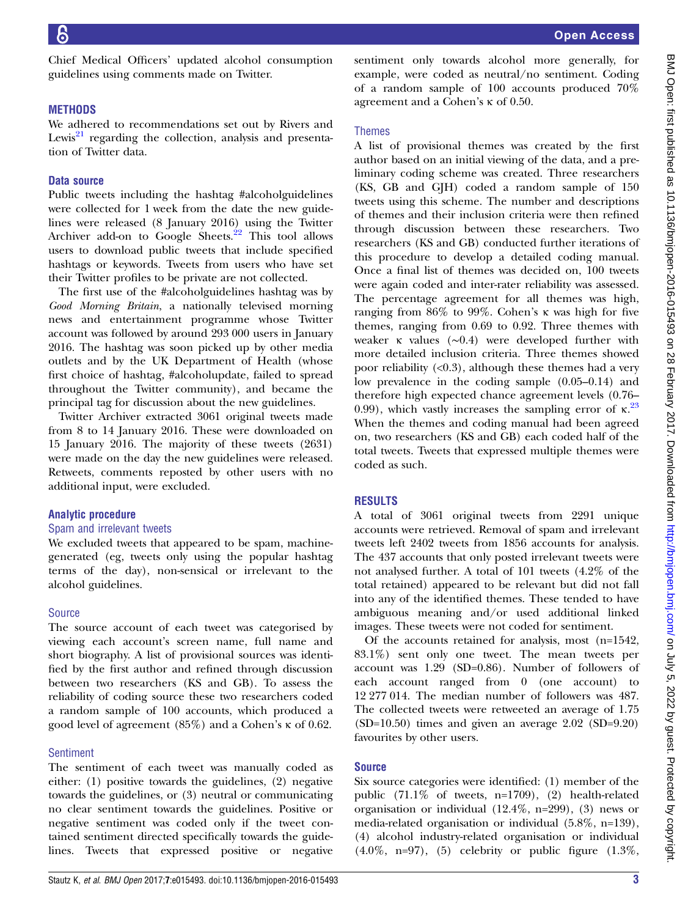Chief Medical Officers' updated alcohol consumption guidelines using comments made on Twitter.

#### **METHODS**

We adhered to recommendations set out by Rivers and Lewis<sup>21</sup> regarding the collection, analysis and presentation of Twitter data.

#### Data source

Public tweets including the hashtag #alcoholguidelines were collected for 1 week from the date the new guidelines were released (8 January 2016) using the Twitter Archiver add-on to Google Sheets. $22$  This tool allows users to download public tweets that include specified hashtags or keywords. Tweets from users who have set their Twitter profiles to be private are not collected.

The first use of the #alcoholguidelines hashtag was by Good Morning Britain, a nationally televised morning news and entertainment programme whose Twitter account was followed by around 293 000 users in January 2016. The hashtag was soon picked up by other media outlets and by the UK Department of Health (whose first choice of hashtag, #alcoholupdate, failed to spread throughout the Twitter community), and became the principal tag for discussion about the new guidelines.

Twitter Archiver extracted 3061 original tweets made from 8 to 14 January 2016. These were downloaded on 15 January 2016. The majority of these tweets (2631) were made on the day the new guidelines were released. Retweets, comments reposted by other users with no additional input, were excluded.

#### Analytic procedure

#### Spam and irrelevant tweets

We excluded tweets that appeared to be spam, machinegenerated (eg, tweets only using the popular hashtag terms of the day), non-sensical or irrelevant to the alcohol guidelines.

#### Source

The source account of each tweet was categorised by viewing each account's screen name, full name and short biography. A list of provisional sources was identified by the first author and refined through discussion between two researchers (KS and GB). To assess the reliability of coding source these two researchers coded a random sample of 100 accounts, which produced a good level of agreement (85%) and a Cohen's κ of 0.62.

#### Sentiment

The sentiment of each tweet was manually coded as either: (1) positive towards the guidelines, (2) negative towards the guidelines, or (3) neutral or communicating no clear sentiment towards the guidelines. Positive or negative sentiment was coded only if the tweet contained sentiment directed specifically towards the guidelines. Tweets that expressed positive or negative

sentiment only towards alcohol more generally, for example, were coded as neutral/no sentiment. Coding of a random sample of 100 accounts produced 70% agreement and a Cohen's κ of 0.50.

#### Themes

A list of provisional themes was created by the first author based on an initial viewing of the data, and a preliminary coding scheme was created. Three researchers (KS, GB and GJH) coded a random sample of 150 tweets using this scheme. The number and descriptions of themes and their inclusion criteria were then refined through discussion between these researchers. Two researchers (KS and GB) conducted further iterations of this procedure to develop a detailed coding manual. Once a final list of themes was decided on, 100 tweets were again coded and inter-rater reliability was assessed. The percentage agreement for all themes was high, ranging from 86% to 99%. Cohen's κ was high for five themes, ranging from 0.69 to 0.92. Three themes with weaker κ values (∼0.4) were developed further with more detailed inclusion criteria. Three themes showed poor reliability  $(0.3)$ , although these themes had a very low prevalence in the coding sample (0.05–0.14) and therefore high expected chance agreement levels (0.76– 0.99), which vastly increases the sampling error of  $\kappa$ <sup>[23](#page-8-0)</sup> When the themes and coding manual had been agreed on, two researchers (KS and GB) each coded half of the total tweets. Tweets that expressed multiple themes were coded as such.

#### RESULTS

A total of 3061 original tweets from 2291 unique accounts were retrieved. Removal of spam and irrelevant tweets left 2402 tweets from 1856 accounts for analysis. The 437 accounts that only posted irrelevant tweets were not analysed further. A total of 101 tweets (4.2% of the total retained) appeared to be relevant but did not fall into any of the identified themes. These tended to have ambiguous meaning and/or used additional linked images. These tweets were not coded for sentiment.

Of the accounts retained for analysis, most (n=1542, 83.1%) sent only one tweet. The mean tweets per account was 1.29 (SD=0.86). Number of followers of each account ranged from 0 (one account) to 12 277 014. The median number of followers was 487. The collected tweets were retweeted an average of 1.75 (SD=10.50) times and given an average 2.02 (SD=9.20) favourites by other users.

#### Source

Six source categories were identified: (1) member of the public (71.1% of tweets, n=1709), (2) health-related organisation or individual (12.4%, n=299), (3) news or media-related organisation or individual (5.8%, n=139), (4) alcohol industry-related organisation or individual (4.0%, n=97), (5) celebrity or public figure (1.3%,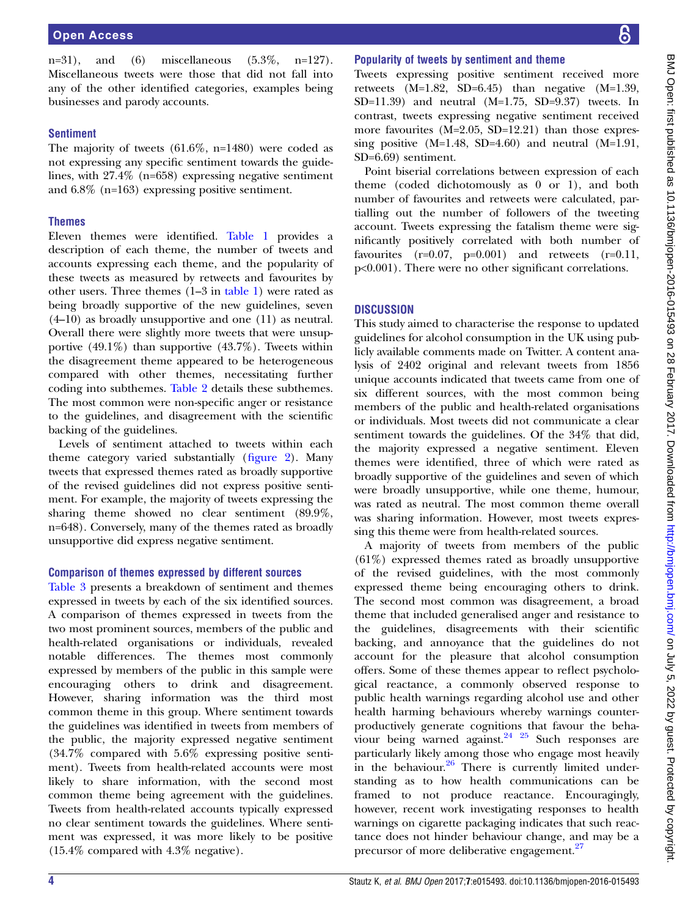n=31), and (6) miscellaneous (5.3%, n=127). Miscellaneous tweets were those that did not fall into any of the other identified categories, examples being businesses and parody accounts.

#### Sentiment

The majority of tweets  $(61.6\%, n=1480)$  were coded as not expressing any specific sentiment towards the guidelines, with 27.4% (n=658) expressing negative sentiment and 6.8% (n=163) expressing positive sentiment.

#### Themes

Eleven themes were identified. [Table 1](#page-4-0) provides a description of each theme, the number of tweets and accounts expressing each theme, and the popularity of these tweets as measured by retweets and favourites by other users. Three themes (1–3 in [table 1\)](#page-4-0) were rated as being broadly supportive of the new guidelines, seven (4–10) as broadly unsupportive and one (11) as neutral. Overall there were slightly more tweets that were unsupportive  $(49.1\%)$  than supportive  $(43.7\%)$ . Tweets within the disagreement theme appeared to be heterogeneous compared with other themes, necessitating further coding into subthemes. [Table 2](#page-6-0) details these subthemes. The most common were non-specific anger or resistance to the guidelines, and disagreement with the scientific backing of the guidelines.

Levels of sentiment attached to tweets within each theme category varied substantially (fi[gure 2\)](#page-6-0). Many tweets that expressed themes rated as broadly supportive of the revised guidelines did not express positive sentiment. For example, the majority of tweets expressing the sharing theme showed no clear sentiment (89.9%, n=648). Conversely, many of the themes rated as broadly unsupportive did express negative sentiment.

#### Comparison of themes expressed by different sources

[Table 3](#page-7-0) presents a breakdown of sentiment and themes expressed in tweets by each of the six identified sources. A comparison of themes expressed in tweets from the two most prominent sources, members of the public and health-related organisations or individuals, revealed notable differences. The themes most commonly expressed by members of the public in this sample were encouraging others to drink and disagreement. However, sharing information was the third most common theme in this group. Where sentiment towards the guidelines was identified in tweets from members of the public, the majority expressed negative sentiment (34.7% compared with 5.6% expressing positive sentiment). Tweets from health-related accounts were most likely to share information, with the second most common theme being agreement with the guidelines. Tweets from health-related accounts typically expressed no clear sentiment towards the guidelines. Where sentiment was expressed, it was more likely to be positive (15.4% compared with 4.3% negative).

#### Popularity of tweets by sentiment and theme

Tweets expressing positive sentiment received more retweets  $(M=1.82, SD=6.45)$  than negative  $(M=1.39,$ SD=11.39) and neutral  $(M=1.75, SD=9.37)$  tweets. In contrast, tweets expressing negative sentiment received more favourites  $(M=2.05, SD=12.21)$  than those expressing positive (M=1.48, SD=4.60) and neutral (M=1.91, SD=6.69) sentiment.

Point biserial correlations between expression of each theme (coded dichotomously as 0 or 1), and both number of favourites and retweets were calculated, partialling out the number of followers of the tweeting account. Tweets expressing the fatalism theme were significantly positively correlated with both number of favourites  $(r=0.07, p=0.001)$  and retweets  $(r=0.11,$ p<0.001). There were no other significant correlations.

#### **DISCUSSION**

This study aimed to characterise the response to updated guidelines for alcohol consumption in the UK using publicly available comments made on Twitter. A content analysis of 2402 original and relevant tweets from 1856 unique accounts indicated that tweets came from one of six different sources, with the most common being members of the public and health-related organisations or individuals. Most tweets did not communicate a clear sentiment towards the guidelines. Of the 34% that did, the majority expressed a negative sentiment. Eleven themes were identified, three of which were rated as broadly supportive of the guidelines and seven of which were broadly unsupportive, while one theme, humour, was rated as neutral. The most common theme overall was sharing information. However, most tweets expressing this theme were from health-related sources.

A majority of tweets from members of the public (61%) expressed themes rated as broadly unsupportive of the revised guidelines, with the most commonly expressed theme being encouraging others to drink. The second most common was disagreement, a broad theme that included generalised anger and resistance to the guidelines, disagreements with their scientific backing, and annoyance that the guidelines do not account for the pleasure that alcohol consumption offers. Some of these themes appear to reflect psychological reactance, a commonly observed response to public health warnings regarding alcohol use and other health harming behaviours whereby warnings counterproductively generate cognitions that favour the behaviour being warned against.  $24 \times 25$  Such responses are particularly likely among those who engage most heavily in the behaviour. $26$  There is currently limited understanding as to how health communications can be framed to not produce reactance. Encouragingly, however, recent work investigating responses to health warnings on cigarette packaging indicates that such reactance does not hinder behaviour change, and may be a precursor of more deliberative engagement.<sup>[27](#page-8-0)</sup>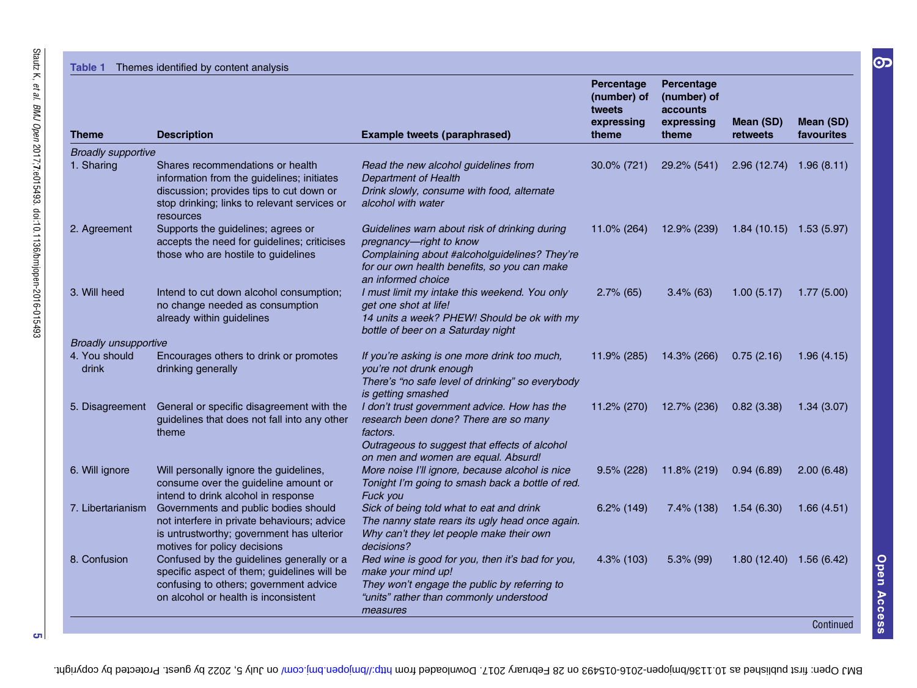<span id="page-4-0"></span>

| <b>Theme</b>                | <b>Description</b>                                                                                                                                                                      | <b>Example tweets (paraphrased)</b>                                                                                                                                                             | Percentage<br>(number) of<br>tweets<br>expressing<br>theme | Percentage<br>(number) of<br>accounts<br>expressing<br>theme | Mean (SD)<br>retweets | Mean (SD)<br>favourites |
|-----------------------------|-----------------------------------------------------------------------------------------------------------------------------------------------------------------------------------------|-------------------------------------------------------------------------------------------------------------------------------------------------------------------------------------------------|------------------------------------------------------------|--------------------------------------------------------------|-----------------------|-------------------------|
| <b>Broadly supportive</b>   |                                                                                                                                                                                         |                                                                                                                                                                                                 |                                                            |                                                              |                       |                         |
| 1. Sharing                  | Shares recommendations or health<br>information from the guidelines; initiates<br>discussion; provides tips to cut down or<br>stop drinking; links to relevant services or<br>resources | Read the new alcohol guidelines from<br><b>Department of Health</b><br>Drink slowly, consume with food, alternate<br>alcohol with water                                                         | 30.0% (721)                                                | 29.2% (541)                                                  | 2.96(12.74)           | 1.96(8.11)              |
| 2. Agreement                | Supports the guidelines; agrees or<br>accepts the need for guidelines; criticises<br>those who are hostile to guidelines                                                                | Guidelines warn about risk of drinking during<br>pregnancy-right to know<br>Complaining about #alcoholguidelines? They're<br>for our own health benefits, so you can make<br>an informed choice | 11.0% (264)                                                | 12.9% (239)                                                  | 1.84(10.15)           | 1.53(5.97)              |
| 3. Will heed                | Intend to cut down alcohol consumption;<br>no change needed as consumption<br>already within guidelines                                                                                 | I must limit my intake this weekend. You only<br>get one shot at life!<br>14 units a week? PHEW! Should be ok with my<br>bottle of beer on a Saturday night                                     | $2.7\%$ (65)                                               | $3.4\%$ (63)                                                 | 1.00(5.17)            | 1.77(5.00)              |
| <b>Broadly unsupportive</b> |                                                                                                                                                                                         |                                                                                                                                                                                                 |                                                            |                                                              |                       |                         |
| 4. You should<br>drink      | Encourages others to drink or promotes<br>drinking generally                                                                                                                            | If you're asking is one more drink too much,<br>you're not drunk enough<br>There's "no safe level of drinking" so everybody<br>is getting smashed                                               | 11.9% (285)                                                | 14.3% (266)                                                  | 0.75(2.16)            | 1.96(4.15)              |
| 5. Disagreement             | General or specific disagreement with the<br>guidelines that does not fall into any other<br>theme                                                                                      | I don't trust government advice. How has the<br>research been done? There are so many<br>factors.<br>Outrageous to suggest that effects of alcohol<br>on men and women are equal. Absurd!       | 11.2% (270)                                                | 12.7% (236)                                                  | 0.82(3.38)            | 1.34(3.07)              |
| 6. Will ignore              | Will personally ignore the guidelines,<br>consume over the guideline amount or<br>intend to drink alcohol in response                                                                   | More noise l'Il ignore, because alcohol is nice<br>Tonight I'm going to smash back a bottle of red.<br>Fuck you                                                                                 | $9.5\%$ (228)                                              | 11.8% (219)                                                  | 0.94(6.89)            | 2.00(6.48)              |
| 7. Libertarianism           | Governments and public bodies should<br>not interfere in private behaviours; advice<br>is untrustworthy; government has ulterior<br>motives for policy decisions                        | Sick of being told what to eat and drink<br>The nanny state rears its ugly head once again.<br>Why can't they let people make their own<br>decisions?                                           | $6.2\%$ (149)                                              | 7.4% (138)                                                   | 1.54(6.30)            | 1.66(4.51)              |
| 8. Confusion                | Confused by the guidelines generally or a<br>specific aspect of them; guidelines will be<br>confusing to others; government advice<br>on alcohol or health is inconsistent              | Red wine is good for you, then it's bad for you,<br>make your mind up!<br>They won't engage the public by referring to<br>"units" rather than commonly understood<br>measures                   | 4.3% (103)                                                 | $5.3\%$ (99)                                                 | 1.80(12.40)           | 1.56(6.42)              |

ප

BMJ Open: first published as 10.11369/pm-2016-015493 on 28 Februard SU17. Downloaded from http://bmjopen.bm/ muylish. Jublished by copyright.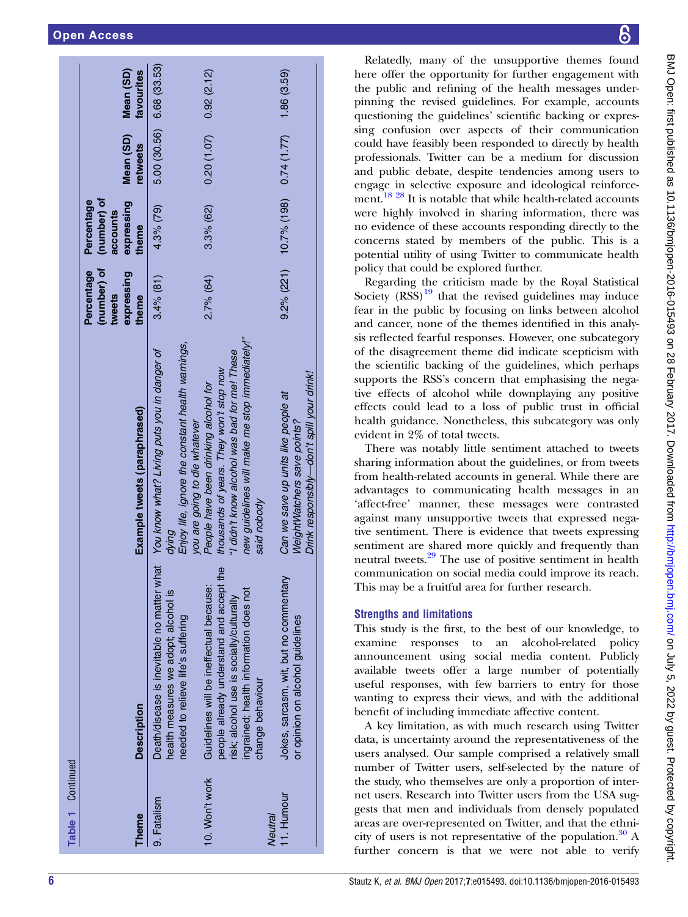| Death/disease is inevitable no matter what<br>people already understand and accept the<br>Guidelines will be ineffectual because:<br>ingrained; health information does not<br>health measures we adopt; alcohol is<br>risk; alcohol use is socially/culturally<br>needed to relieve life's suffering<br><b>Description</b><br>10. Won't work<br>9. Fatalism<br>Theme |   | Enjoy life, ignore the constant health warnings,<br>You know what? Living puts you in danger of<br>Example tweets (paraphrased)<br>pui/p                                                          | Percentage<br>(number) of<br>expressing<br>$3.4%$ (81)<br>tweets<br>theme | (number) of<br>Percentage<br>accounts |                       |                           |
|-----------------------------------------------------------------------------------------------------------------------------------------------------------------------------------------------------------------------------------------------------------------------------------------------------------------------------------------------------------------------|---|---------------------------------------------------------------------------------------------------------------------------------------------------------------------------------------------------|---------------------------------------------------------------------------|---------------------------------------|-----------------------|---------------------------|
|                                                                                                                                                                                                                                                                                                                                                                       |   |                                                                                                                                                                                                   |                                                                           | expressing<br>theme                   | Mean (SD)<br>retweets | Mean (SD)<br>favourites   |
|                                                                                                                                                                                                                                                                                                                                                                       |   | you are going to die whatever                                                                                                                                                                     |                                                                           | $4.3%$ (79)                           |                       | 5.00 (30.56) 6.68 (33.53) |
| change behaviour<br>Neutral                                                                                                                                                                                                                                                                                                                                           | Φ | new guidelines will make me stop immediately!"<br>"I didn't know alcohol was bad for me! These<br>thousands of years. They won't stop now<br>People have been drinking alcohol for<br>said nobody | $2.7%$ (64)                                                               | $3.3%$ (62)                           | 0.20(1.07)            | 0.92(2.12)                |
| Jokes, sarcasm, wit, but no commentary<br>or opinion on alcohol guidelines<br>11. Humour                                                                                                                                                                                                                                                                              |   | Drink responsibly—don't spill your drink!<br>Can we save up units like people at<br>WeightWatchers save points?                                                                                   |                                                                           | $9.2\%$ (221) 10.7% (198)             | 0.74(1.77)            | 1.86 (3.59)               |

Relatedly, many of the unsupportive themes found here offer the opportunity for further engagement with the public and refining of the health messages underpinning the revised guidelines. For example, accounts questioning the guidelines' scientific backing or expressing confusion over aspects of their communication could have feasibly been responded to directly by health professionals. Twitter can be a medium for discussion and public debate, despite tendencies among users to engage in selective exposure and ideological reinforce-ment.<sup>[18 28](#page-8-0)</sup> It is notable that while health-related accounts were highly involved in sharing information, there was no evidence of these accounts responding directly to the concerns stated by members of the public. This is a potential utility of using Twitter to communicate health policy that could be explored further.

Regarding the criticism made by the Royal Statistical Society  $(RSS)^{19}$  that the revised guidelines may induce fear in the public by focusing on links between alcohol and cancer, none of the themes identified in this analysis reflected fearful responses. However, one subcategory of the disagreement theme did indicate scepticism with the scientific backing of the guidelines, which perhaps supports the RSS's concern that emphasising the negative effects of alcohol while downplaying any positive effects could lead to a loss of public trust in official health guidance. Nonetheless, this subcategory was only evident in 2% of total tweets.

There was notably little sentiment attached to tweets sharing information about the guidelines, or from tweets from health-related accounts in general. While there are advantages to communicating health messages in an 'affect-free' manner, these messages were contrasted against many unsupportive tweets that expressed negative sentiment. There is evidence that tweets expressing sentiment are shared more quickly and frequently than neutral tweets.[29](#page-8-0) The use of positive sentiment in health communication on social media could improve its reach. This may be a fruitful area for further research.

#### Strengths and limitations

This study is the first, to the best of our knowledge, to examine responses to an alcohol-related policy announcement using social media content. Publicly available tweets offer a large number of potentially useful responses, with few barriers to entry for those wanting to express their views, and with the additional benefit of including immediate affective content.

A key limitation, as with much research using Twitter data, is uncertainty around the representativeness of the users analysed. Our sample comprised a relatively small number of Twitter users, self-selected by the nature of the study, who themselves are only a proportion of internet users. Research into Twitter users from the USA suggests that men and individuals from densely populated areas are over-represented on Twitter, and that the ethni-city of users is not representative of the population.<sup>[30](#page-8-0)</sup> A further concern is that we were not able to verify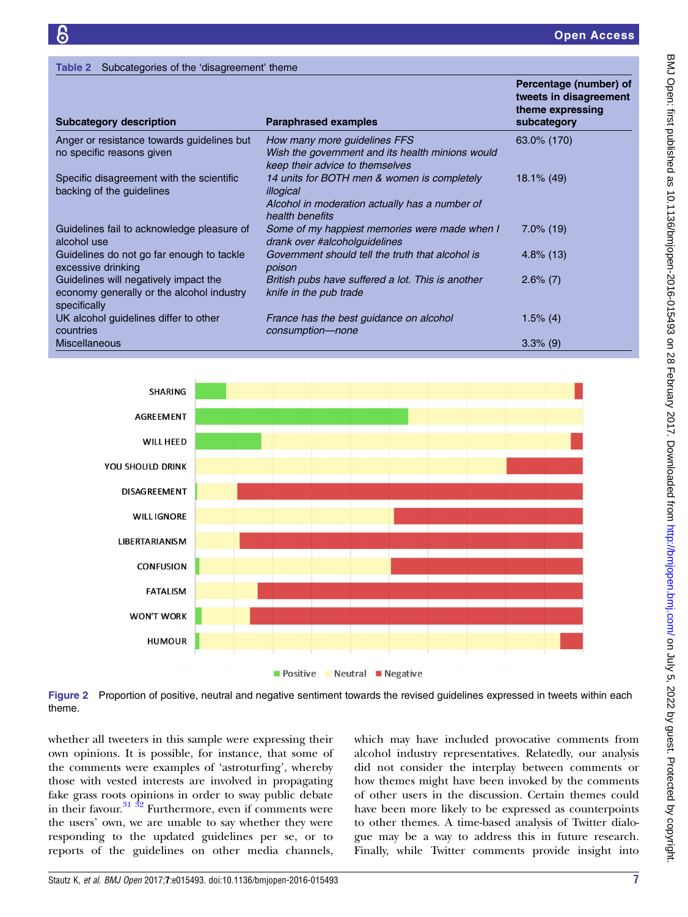<span id="page-6-0"></span>

| <b>Table 2</b> Subcategories of the 'disagreement' theme                                           |                                                                                                                               |                                                                                     |  |  |  |
|----------------------------------------------------------------------------------------------------|-------------------------------------------------------------------------------------------------------------------------------|-------------------------------------------------------------------------------------|--|--|--|
| <b>Subcategory description</b>                                                                     | <b>Paraphrased examples</b>                                                                                                   | Percentage (number) of<br>tweets in disagreement<br>theme expressing<br>subcategory |  |  |  |
| Anger or resistance towards guidelines but<br>no specific reasons given                            | How many more guidelines FFS<br>Wish the government and its health minions would<br>keep their advice to themselves           | 63.0% (170)                                                                         |  |  |  |
| Specific disagreement with the scientific<br>backing of the guidelines                             | 14 units for BOTH men & women is completely<br>illogical<br>Alcohol in moderation actually has a number of<br>health benefits | 18.1% (49)                                                                          |  |  |  |
| Guidelines fail to acknowledge pleasure of<br>alcohol use                                          | Some of my happiest memories were made when I<br>drank over #alcoholguidelines                                                | $7.0\%$ (19)                                                                        |  |  |  |
| Guidelines do not go far enough to tackle<br>excessive drinking                                    | Government should tell the truth that alcohol is<br>poison                                                                    | $4.8\%$ (13)                                                                        |  |  |  |
| Guidelines will negatively impact the<br>economy generally or the alcohol industry<br>specifically | British pubs have suffered a lot. This is another<br>knife in the pub trade                                                   | $2.6\%$ (7)                                                                         |  |  |  |
| UK alcohol guidelines differ to other<br>countries                                                 | France has the best guidance on alcohol<br>consumption-none                                                                   | $1.5\%$ (4)                                                                         |  |  |  |
| <b>Miscellaneous</b>                                                                               |                                                                                                                               | $3.3\%$ (9)                                                                         |  |  |  |



Figure 2 Proportion of positive, neutral and negative sentiment towards the revised guidelines expressed in tweets within each theme.

whether all tweeters in this sample were expressing their own opinions. It is possible, for instance, that some of the comments were examples of 'astroturfing', whereby those with vested interests are involved in propagating fake grass roots opinions in order to sway public debate in their favour. $31 \overline{32}$  Furthermore, even if comments were the users' own, we are unable to say whether they were responding to the updated guidelines per se, or to reports of the guidelines on other media channels,

which may have included provocative comments from alcohol industry representatives. Relatedly, our analysis did not consider the interplay between comments or how themes might have been invoked by the comments of other users in the discussion. Certain themes could have been more likely to be expressed as counterpoints to other themes. A time-based analysis of Twitter dialogue may be a way to address this in future research. Finally, while Twitter comments provide insight into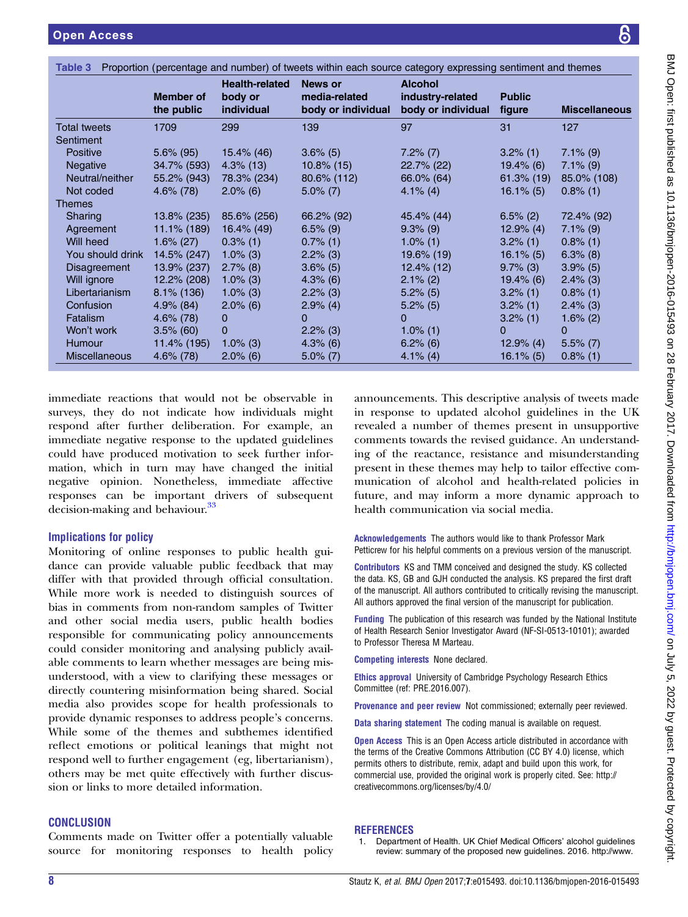Sen

<span id="page-7-0"></span>

|                      | Member of<br>the public | <b>Health-related</b><br>body or<br><i>individual</i> | <b>News or</b><br>media-related<br>body or individual | <b>Alcohol</b><br>industry-related<br>body or individual | <b>Public</b><br>figure | <b>Miscellaneous</b> |
|----------------------|-------------------------|-------------------------------------------------------|-------------------------------------------------------|----------------------------------------------------------|-------------------------|----------------------|
| Total tweets         | 1709                    | 299                                                   | 139                                                   | 97                                                       | 31                      | 127                  |
| Sentiment            |                         |                                                       |                                                       |                                                          |                         |                      |
| <b>Positive</b>      | $5.6\%$ (95)            | $15.4\%$ (46)                                         | $3.6\%$ (5)                                           | $7.2\%$ (7)                                              | $3.2\%$ (1)             | $7.1\%$ (9)          |
| <b>Negative</b>      | 34.7% (593)             | $4.3\%$ (13)                                          | $10.8\%$ (15)                                         | 22.7% (22)                                               | $19.4\%$ (6)            | $7.1\%$ (9)          |
| Neutral/neither      | 55.2% (943)             | 78.3% (234)                                           | 80.6% (112)                                           | 66.0% (64)                                               | $61.3\%$ (19)           | 85.0% (108)          |
| Not coded            | $4.6\%$ (78)            | $2.0\%$ (6)                                           | $5.0\%$ (7)                                           | $4.1\%$ (4)                                              | $16.1\%$ (5)            | $0.8\%$ (1)          |
| Themes               |                         |                                                       |                                                       |                                                          |                         |                      |
| Sharing              | 13.8% (235)             | 85.6% (256)                                           | 66.2% (92)                                            | 45.4% (44)                                               | $6.5\%$ (2)             | 72.4% (92)           |
| Agreement            | 11.1% (189)             | $16.4\%$ (49)                                         | $6.5\%$ (9)                                           | $9.3\%$ (9)                                              | $12.9\%$ (4)            | $7.1\%$ (9)          |
| Will heed            | $1.6\% (27)$            | $0.3\%$ (1)                                           | $0.7\%$ (1)                                           | $1.0\%$ (1)                                              | $3.2\%$ (1)             | $0.8\%$ (1)          |
| You should drink     | 14.5% (247)             | $1.0\%$ (3)                                           | $2.2\%$ (3)                                           | 19.6% (19)                                               | $16.1\%$ (5)            | $6.3\%$ (8)          |
| Disagreement         | 13.9% (237)             | $2.7\%$ (8)                                           | $3.6\%$ (5)                                           | $12.4\%$ (12)                                            | $9.7\%$ (3)             | $3.9\%$ (5)          |
| Will ignore          | 12.2% (208)             | $1.0\%$ (3)                                           | $4.3\%$ (6)                                           | $2.1\%$ (2)                                              | $19.4\%$ (6)            | $2.4\%$ (3)          |
| Libertarianism       | $8.1\%$ (136)           | $1.0\%$ (3)                                           | $2.2\%$ (3)                                           | $5.2\%$ (5)                                              | $3.2\%$ (1)             | $0.8\%$ (1)          |
| Confusion            | $4.9\%$ (84)            | $2.0\%$ (6)                                           | $2.9\%$ (4)                                           | $5.2\%$ (5)                                              | $3.2\%$ (1)             | $2.4\%$ (3)          |
| Fatalism             | $4.6\%$ (78)            | 0                                                     | 0                                                     | 0                                                        | $3.2\%$ (1)             | $1.6\%$ (2)          |
| Won't work           | $3.5\%$ (60)            | $\Omega$                                              | $2.2\%$ (3)                                           | $1.0\%$ (1)                                              | $\Omega$                | 0                    |
| <b>Humour</b>        | 11.4% (195)             | $1.0\%$ (3)                                           | $4.3\%$ (6)                                           | $6.2\%$ (6)                                              | $12.9\%$ (4)            | $5.5\%$ (7)          |
| <b>Miscellaneous</b> | $4.6\%$ (78)            | $2.0\%$ (6)                                           | $5.0\%$ (7)                                           | $4.1\%$ (4)                                              | $16.1\%$ (5)            | $0.8\%$ (1)          |

immediate reactions that would not be observable in surveys, they do not indicate how individuals might respond after further deliberation. For example, an immediate negative response to the updated guidelines could have produced motivation to seek further information, which in turn may have changed the initial negative opinion. Nonetheless, immediate affective responses can be important drivers of subsequent decision-making and behaviour.<sup>33</sup>

### Implications for policy

Monitoring of online responses to public health guidance can provide valuable public feedback that may differ with that provided through official consultation. While more work is needed to distinguish sources of bias in comments from non-random samples of Twitter and other social media users, public health bodies responsible for communicating policy announcements could consider monitoring and analysing publicly available comments to learn whether messages are being misunderstood, with a view to clarifying these messages or directly countering misinformation being shared. Social media also provides scope for health professionals to provide dynamic responses to address people's concerns. While some of the themes and subthemes identified reflect emotions or political leanings that might not respond well to further engagement (eg, libertarianism), others may be met quite effectively with further discussion or links to more detailed information.

#### **CONCLUSION**

Comments made on Twitter offer a potentially valuable source for monitoring responses to health policy announcements. This descriptive analysis of tweets made in response to updated alcohol guidelines in the UK revealed a number of themes present in unsupportive comments towards the revised guidance. An understanding of the reactance, resistance and misunderstanding present in these themes may help to tailor effective communication of alcohol and health-related policies in future, and may inform a more dynamic approach to health communication via social media.

Acknowledgements The authors would like to thank Professor Mark Petticrew for his helpful comments on a previous version of the manuscript.

Contributors KS and TMM conceived and designed the study. KS collected the data. KS, GB and GJH conducted the analysis. KS prepared the first draft of the manuscript. All authors contributed to critically revising the manuscript. All authors approved the final version of the manuscript for publication.

Funding The publication of this research was funded by the National Institute of Health Research Senior Investigator Award (NF-SI-0513-10101); awarded to Professor Theresa M Marteau.

Competing interests None declared.

Ethics approval University of Cambridge Psychology Research Ethics Committee (ref: PRE.2016.007).

Provenance and peer review Not commissioned; externally peer reviewed.

Data sharing statement The coding manual is available on request.

Open Access This is an Open Access article distributed in accordance with the terms of the Creative Commons Attribution (CC BY 4.0) license, which permits others to distribute, remix, adapt and build upon this work, for commercial use, provided the original work is properly cited. See: [http://](http://creativecommons.org/licenses/by/4.0/) [creativecommons.org/licenses/by/4.0/](http://creativecommons.org/licenses/by/4.0/)

#### **REFERENCES**

1. Department of Health. UK Chief Medical Officers' alcohol guidelines review: summary of the proposed new guidelines. 2016. [http://www.](http://www.gov.uk/government/uploads/system/uploads/attachment_data/file/489795/summary.pdf)